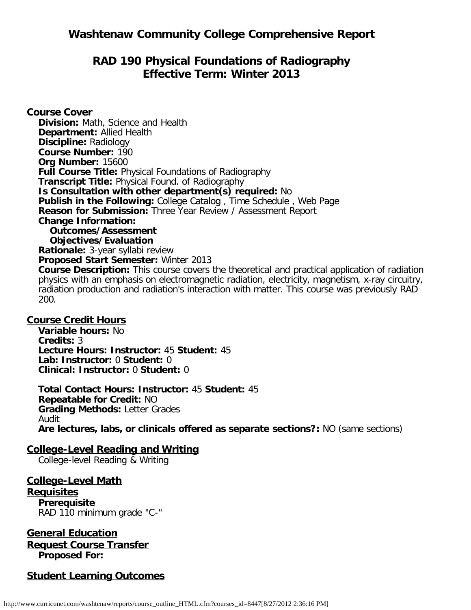# **RAD 190 Physical Foundations of Radiography Effective Term: Winter 2013**

**Course Cover Division:** Math, Science and Health **Department:** Allied Health **Discipline:** Radiology **Course Number:** 190 **Org Number:** 15600 **Full Course Title:** Physical Foundations of Radiography **Transcript Title:** Physical Found. of Radiography **Is Consultation with other department(s) required:** No **Publish in the Following:** College Catalog , Time Schedule , Web Page **Reason for Submission:** Three Year Review / Assessment Report **Change Information: Outcomes/Assessment Objectives/Evaluation Rationale:** 3-year syllabi review **Proposed Start Semester:** Winter 2013 **Course Description:** This course covers the theoretical and practical application of radiation physics with an emphasis on electromagnetic radiation, electricity, magnetism, x-ray circuitry, radiation production and radiation's interaction with matter. This course was previously RAD 200.

### **Course Credit Hours**

**Variable hours:** No **Credits:** 3 **Lecture Hours: Instructor:** 45 **Student:** 45 **Lab: Instructor:** 0 **Student:** 0 **Clinical: Instructor:** 0 **Student:** 0

**Total Contact Hours: Instructor:** 45 **Student:** 45 **Repeatable for Credit:** NO **Grading Methods:** Letter Grades Audit **Are lectures, labs, or clinicals offered as separate sections?:** NO (same sections)

## **College-Level Reading and Writing**

College-level Reading & Writing

**College-Level Math Requisites Prerequisite** RAD 110 minimum grade "C-"

**General Education Request Course Transfer Proposed For:**

## **Student Learning Outcomes**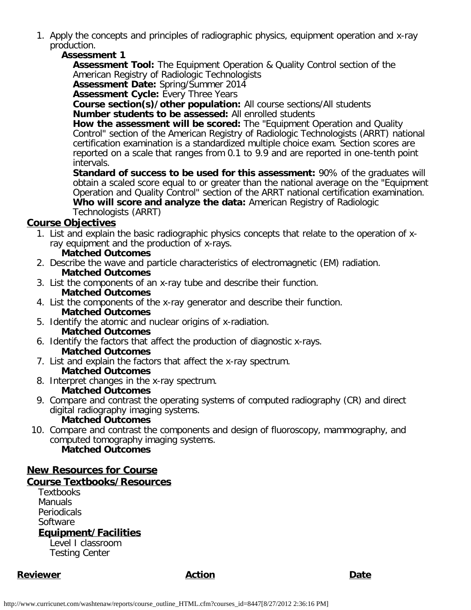1. Apply the concepts and principles of radiographic physics, equipment operation and x-ray production.

### **Assessment 1**

**Assessment Tool:** The Equipment Operation & Quality Control section of the American Registry of Radiologic Technologists

**Assessment Date:** Spring/Summer 2014

**Assessment Cycle: Every Three Years** 

**Course section(s)/other population:** All course sections/All students **Number students to be assessed:** All enrolled students

**How the assessment will be scored:** The "Equipment Operation and Quality Control" section of the American Registry of Radiologic Technologists (ARRT) national certification examination is a standardized multiple choice exam. Section scores are reported on a scale that ranges from 0.1 to 9.9 and are reported in one-tenth point intervals.

**Standard of success to be used for this assessment:** 90% of the graduates will obtain a scaled score equal to or greater than the national average on the "Equipment Operation and Quality Control" section of the ARRT national certification examination. **Who will score and analyze the data:** American Registry of Radiologic Technologists (ARRT)

### **Course Objectives**

- 1. List and explain the basic radiographic physics concepts that relate to the operation of xray equipment and the production of x-rays.
	- **Matched Outcomes**
- 2. Describe the wave and particle characteristics of electromagnetic (EM) radiation. **Matched Outcomes**
- 3. List the components of an x-ray tube and describe their function. **Matched Outcomes**
- 4. List the components of the x-ray generator and describe their function.
	- **Matched Outcomes**
- 5. Identify the atomic and nuclear origins of x-radiation. **Matched Outcomes**
- 6. Identify the factors that affect the production of diagnostic x-rays.

## **Matched Outcomes**

- 7. List and explain the factors that affect the x-ray spectrum. **Matched Outcomes**
- 8. Interpret changes in the x-ray spectrum.

### **Matched Outcomes**

9. Compare and contrast the operating systems of computed radiography (CR) and direct digital radiography imaging systems.

## **Matched Outcomes**

10. Compare and contrast the components and design of fluoroscopy, mammography, and computed tomography imaging systems. **Matched Outcomes**

## **New Resources for Course**

### **Course Textbooks/Resources**

**Textbooks** Manuals **Periodicals** Software **Equipment/Facilities**

Level I classroom Testing Center

## **Reviewer Action Date**